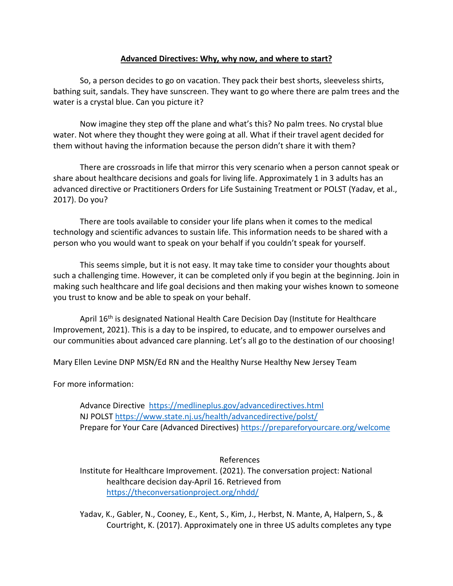## **Advanced Directives: Why, why now, and where to start?**

So, a person decides to go on vacation. They pack their best shorts, sleeveless shirts, bathing suit, sandals. They have sunscreen. They want to go where there are palm trees and the water is a crystal blue. Can you picture it?

Now imagine they step off the plane and what's this? No palm trees. No crystal blue water. Not where they thought they were going at all. What if their travel agent decided for them without having the information because the person didn't share it with them?

There are crossroads in life that mirror this very scenario when a person cannot speak or share about healthcare decisions and goals for living life. Approximately 1 in 3 adults has an advanced directive or Practitioners Orders for Life Sustaining Treatment or POLST (Yadav, et al., 2017). Do you?

There are tools available to consider your life plans when it comes to the medical technology and scientific advances to sustain life. This information needs to be shared with a person who you would want to speak on your behalf if you couldn't speak for yourself.

This seems simple, but it is not easy. It may take time to consider your thoughts about such a challenging time. However, it can be completed only if you begin at the beginning. Join in making such healthcare and life goal decisions and then making your wishes known to someone you trust to know and be able to speak on your behalf.

April 16<sup>th</sup> is designated National Health Care Decision Day (Institute for Healthcare Improvement, 2021). This is a day to be inspired, to educate, and to empower ourselves and our communities about advanced care planning. Let's all go to the destination of our choosing!

Mary Ellen Levine DNP MSN/Ed RN and the Healthy Nurse Healthy New Jersey Team

For more information:

Advance Directive <https://medlineplus.gov/advancedirectives.html> NJ POLST<https://www.state.nj.us/health/advancedirective/polst/> Prepare for Your Care (Advanced Directives)<https://prepareforyourcare.org/welcome>

References Institute for Healthcare Improvement. (2021). The conversation project: National healthcare decision day-April 16. Retrieved from <https://theconversationproject.org/nhdd/>

Yadav, K., Gabler, N., Cooney, E., Kent, S., Kim, J., Herbst, N. Mante, A, Halpern, S., & Courtright, K. (2017). Approximately one in three US adults completes any type